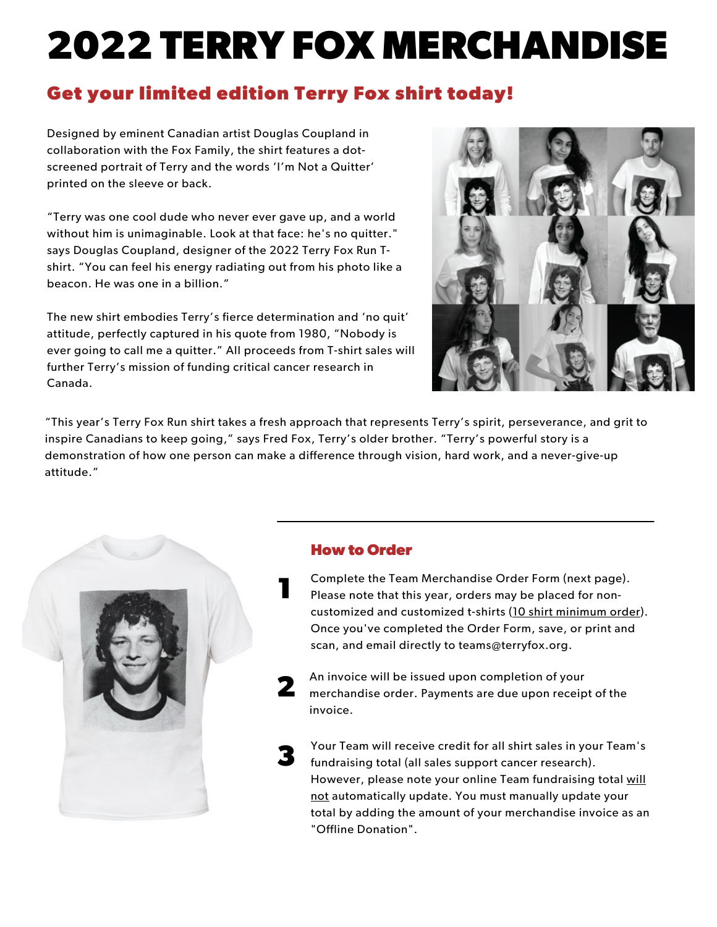# **2022 TERRY FOX MERCHANDISE**

#### **Get your limited edition Terry Fox shirt today!**

Designed by eminent Canadian artist Douglas Coupland in collaboration with the Fox Family, the shirt features a dotscreened portrait of Terry and the words 'I'm Not a Quitter' printed on the sleeve or back.

"Terry was one cool dude who never ever gave up, and a world without him is unimaginable. Look at that face: he's no quitter." says Douglas Coupland, designer of the 2022 Terry Fox Run Tshirt. "You can feel his energy radiating out from his photo like a beacon. He was one in a billion."

The new shirt embodies Terry's fierce determination and 'no quit' attitude, perfectly captured in his quote from 1980, "Nobody is ever going to call me a quitter." All proceeds from T-shirt sales will further Terry's mission of funding critical cancer research in Canada.



"This year's Terry Fox Run shirt takes a fresh approach that represents Terry's spirit, perseverance, and grit to inspire Canadians to keep going," says Fred Fox, Terry's older brother. "Terry's powerful story is a demonstration of how one person can make a difference through vision, hard work, and a never-give-up attitude."



#### **How to Order**

**1**

Complete the Team Merchandise Order Form (next page). Please note that this year, orders may be placed for noncustomized and customized t-shirts (10 shirt minimum order). Once you've completed the Order Form, save, or print and scan, and email directly to teams@terryfox.org.

**2** An invoice will be issued upon completion of your merchandise order. Payments are due upon receipt of the invoice.

**3** Your Team will receive credit for all shirt sales in your Team's fundraising total (all sales support cancer research). However, please note your online Team fundraising total will not automatically update. You must manually update your total by adding the amount of your merchandise invoice as an "Offline Donation".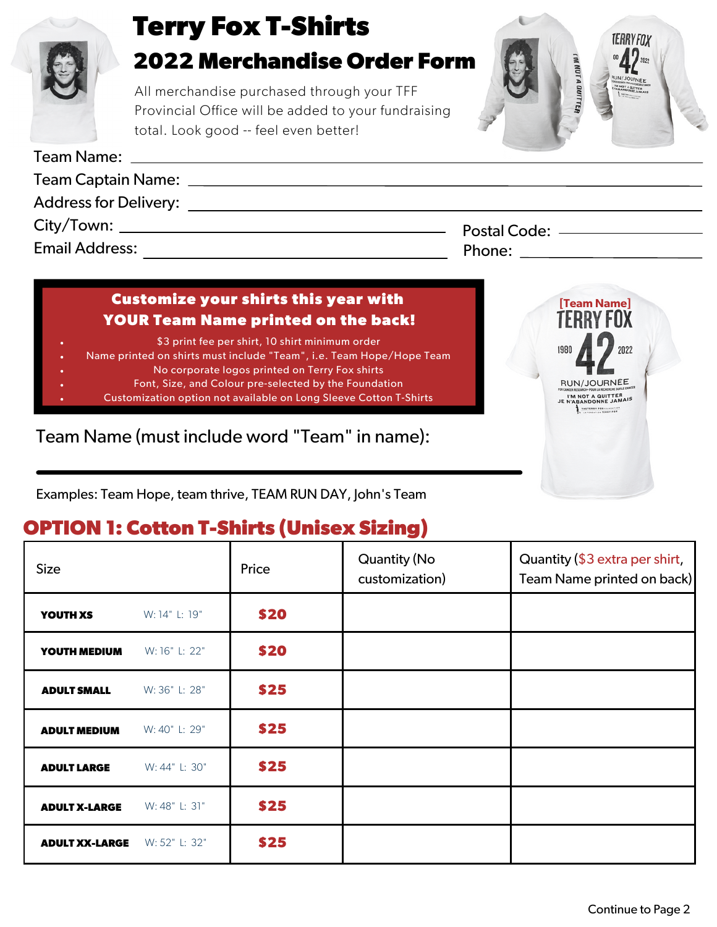

#### **Customize your shirts this year with YOUR Team Name printed on the back!**

- \$3 print fee per shirt, 10 shirt minimum order
- Name printed on shirts must include "Team", i.e. Team Hope/Hope Team
	- No corporate logos printed on Terry Fox shirts
		- Font, Size, and Colour pre-selected by the Foundation
	- Customization option not available on Long Sleeve Cotton T-Shirts

Team Name (must include word "Team" in name):

Examples: Team Hope, team thrive, TEAM RUN DAY, John's Team

## **OPTION 1: Cotton T-Shirts (Unisex Sizing)**

| <b>Size</b>           |               | Price | <b>Quantity (No</b><br>customization) | Quantity (\$3 extra per shirt,<br>Team Name printed on back) |
|-----------------------|---------------|-------|---------------------------------------|--------------------------------------------------------------|
| YOUTH XS              | W: 14" L: 19" | \$20  |                                       |                                                              |
| YOUTH MEDIUM          | W: 16" L: 22" | \$20  |                                       |                                                              |
| <b>ADULT SMALL</b>    | W: 36" L: 28" | \$25  |                                       |                                                              |
| <b>ADULT MEDIUM</b>   | W: 40" L: 29" | \$25  |                                       |                                                              |
| <b>ADULT LARGE</b>    | W: 44" L: 30" | \$25  |                                       |                                                              |
| <b>ADULT X-LARGE</b>  | W: 48" L: 31" | \$25  |                                       |                                                              |
| <b>ADULT XX-LARGE</b> | W: 52" L: 32" | \$25  |                                       |                                                              |